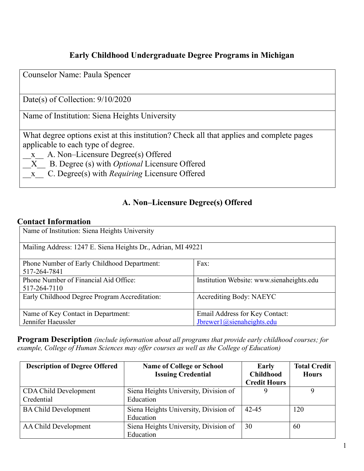# **Early Childhood Undergraduate Degree Programs in Michigan**

Counselor Name: Paula Spencer

Date(s) of Collection: 9/10/2020

Name of Institution: Siena Heights University

What degree options exist at this institution? Check all that applies and complete pages applicable to each type of degree.

\_\_x\_\_ A. Non–Licensure Degree(s) Offered

\_\_X\_\_ B. Degree (s) with *Optional* Licensure Offered

\_\_x\_\_ C. Degree(s) with *Requiring* Licensure Offered

## **A. Non–Licensure Degree(s) Offered**

#### **Contact Information**

| Name of Institution: Siena Heights University                |                                                             |  |
|--------------------------------------------------------------|-------------------------------------------------------------|--|
| Mailing Address: 1247 E. Siena Heights Dr., Adrian, MI 49221 |                                                             |  |
| Phone Number of Early Childhood Department:<br>517-264-7841  | Fax:                                                        |  |
| Phone Number of Financial Aid Office:<br>517-264-7110        | Institution Website: www.sienaheights.edu                   |  |
| Early Childhood Degree Program Accreditation:                | <b>Accrediting Body: NAEYC</b>                              |  |
| Name of Key Contact in Department:<br>Jennifer Haeussler     | Email Address for Key Contact:<br>Jbrewer1@sienaheights.edu |  |

**Program Description** *(include information about all programs that provide early childhood courses; for example, College of Human Sciences may offer courses as well as the College of Education)*

| <b>Description of Degree Offered</b> | <b>Name of College or School</b>      | Early               | <b>Total Credit</b> |
|--------------------------------------|---------------------------------------|---------------------|---------------------|
|                                      | <b>Issuing Credential</b>             | <b>Childhood</b>    | <b>Hours</b>        |
|                                      |                                       | <b>Credit Hours</b> |                     |
| CDA Child Development                | Siena Heights University, Division of |                     |                     |
| Credential                           | Education                             |                     |                     |
| <b>BA Child Development</b>          | Siena Heights University, Division of | 42-45               | 120                 |
|                                      | Education                             |                     |                     |
| AA Child Development                 | Siena Heights University, Division of | 30                  | 60                  |
|                                      | Education                             |                     |                     |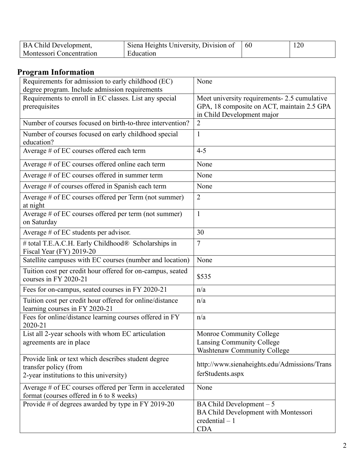| <b>BA Child Development,</b>    | Siena Heights University, Division of | -60 | 120 |
|---------------------------------|---------------------------------------|-----|-----|
| <b>Montessori Concentration</b> | Education                             |     |     |

# **Program Information**

| Requirements for admission to early childhood (EC)<br>degree program. Include admission requirements                    | None                                                                                                                     |
|-------------------------------------------------------------------------------------------------------------------------|--------------------------------------------------------------------------------------------------------------------------|
| Requirements to enroll in EC classes. List any special<br>prerequisites                                                 | Meet university requirements- 2.5 cumulative<br>GPA, 18 composite on ACT, maintain 2.5 GPA<br>in Child Development major |
| Number of courses focused on birth-to-three intervention?                                                               | $\overline{2}$                                                                                                           |
| Number of courses focused on early childhood special<br>education?                                                      | $\mathbf{1}$                                                                                                             |
| Average # of EC courses offered each term                                                                               | $4 - 5$                                                                                                                  |
| Average # of EC courses offered online each term                                                                        | None                                                                                                                     |
| Average # of EC courses offered in summer term                                                                          | None                                                                                                                     |
| Average # of courses offered in Spanish each term                                                                       | None                                                                                                                     |
| Average # of EC courses offered per Term (not summer)<br>at night                                                       | $\overline{2}$                                                                                                           |
| Average # of EC courses offered per term (not summer)<br>on Saturday                                                    | $\mathbf{1}$                                                                                                             |
| Average $#$ of EC students per advisor.                                                                                 | 30                                                                                                                       |
| # total T.E.A.C.H. Early Childhood® Scholarships in<br>Fiscal Year (FY) 2019-20                                         | $\overline{7}$                                                                                                           |
| Satellite campuses with EC courses (number and location)                                                                | None                                                                                                                     |
| Tuition cost per credit hour offered for on-campus, seated<br>courses in FY 2020-21                                     | \$535                                                                                                                    |
| Fees for on-campus, seated courses in FY 2020-21                                                                        | n/a                                                                                                                      |
| Tuition cost per credit hour offered for online/distance<br>learning courses in FY 2020-21                              | n/a                                                                                                                      |
| Fees for online/distance learning courses offered in FY<br>2020-21                                                      | n/a                                                                                                                      |
| List all 2-year schools with whom EC articulation<br>agreements are in place                                            | Monroe Community College<br>Lansing Community College<br><b>Washtenaw Community College</b>                              |
| Provide link or text which describes student degree<br>transfer policy (from<br>2-year institutions to this university) | http://www.sienaheights.edu/Admissions/Trans<br>ferStudents.aspx                                                         |
| Average # of EC courses offered per Term in accelerated<br>format (courses offered in 6 to 8 weeks)                     | None                                                                                                                     |
| Provide # of degrees awarded by type in FY 2019-20                                                                      | BA Child Development $-5$<br>BA Child Development with Montessori<br>$credential - 1$<br><b>CDA</b>                      |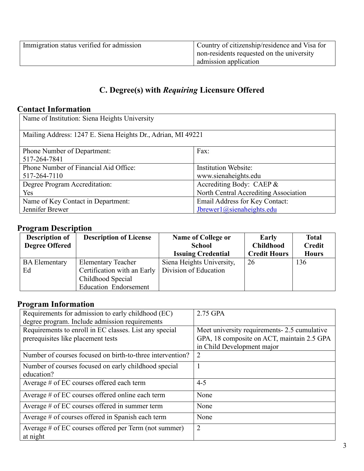| Immigration status verified for admission | Country of citizenship/residence and Visa for |
|-------------------------------------------|-----------------------------------------------|
|                                           | non-residents requested on the university     |
|                                           | admission application                         |

# **C. Degree(s) with** *Requiring* **Licensure Offered**

### **Contact Information**

| Name of Institution: Siena Heights University                |                                       |  |
|--------------------------------------------------------------|---------------------------------------|--|
| Mailing Address: 1247 E. Siena Heights Dr., Adrian, MI 49221 |                                       |  |
| <b>Phone Number of Department:</b>                           | Fax:                                  |  |
| 517-264-7841                                                 |                                       |  |
| Phone Number of Financial Aid Office:                        | <b>Institution Website:</b>           |  |
| 517-264-7110                                                 | www.sienaheights.edu                  |  |
| Degree Program Accreditation:                                | Accrediting Body: CAEP &              |  |
| Yes                                                          | North Central Accrediting Association |  |
| Name of Key Contact in Department:                           | Email Address for Key Contact:        |  |
| Jennifer Brewer                                              | Jbrewer1@sienaheights.edu             |  |

### **Program Description**

| <b>Description of</b><br><b>Degree Offered</b> | <b>Description of License</b> | <b>Name of College or</b><br><b>School</b>             | Early<br><b>Childhood</b><br><b>Credit Hours</b> | <b>Total</b><br><b>Credit</b> |
|------------------------------------------------|-------------------------------|--------------------------------------------------------|--------------------------------------------------|-------------------------------|
| <b>BA Elementary</b>                           | <b>Elementary Teacher</b>     | <b>Issuing Credential</b><br>Siena Heights University, | 26                                               | <b>Hours</b><br>136           |
| Ed                                             | Certification with an Early   | Division of Education                                  |                                                  |                               |
|                                                | Childhood Special             |                                                        |                                                  |                               |
|                                                | <b>Education Endorsement</b>  |                                                        |                                                  |                               |

### **Program Information**

| Requirements for admission to early childhood (EC)<br>degree program. Include admission requirements | 2.75 GPA                                                                                                                 |
|------------------------------------------------------------------------------------------------------|--------------------------------------------------------------------------------------------------------------------------|
| Requirements to enroll in EC classes. List any special<br>prerequisites like placement tests         | Meet university requirements- 2.5 cumulative<br>GPA, 18 composite on ACT, maintain 2.5 GPA<br>in Child Development major |
| Number of courses focused on birth-to-three intervention?                                            | $\overline{2}$                                                                                                           |
| Number of courses focused on early childhood special<br>education?                                   |                                                                                                                          |
| Average # of EC courses offered each term                                                            | $4 - 5$                                                                                                                  |
| Average # of EC courses offered online each term                                                     | None                                                                                                                     |
| Average # of EC courses offered in summer term                                                       | None                                                                                                                     |
| Average # of courses offered in Spanish each term                                                    | None                                                                                                                     |
| Average # of EC courses offered per Term (not summer)<br>at night                                    | $\overline{2}$                                                                                                           |